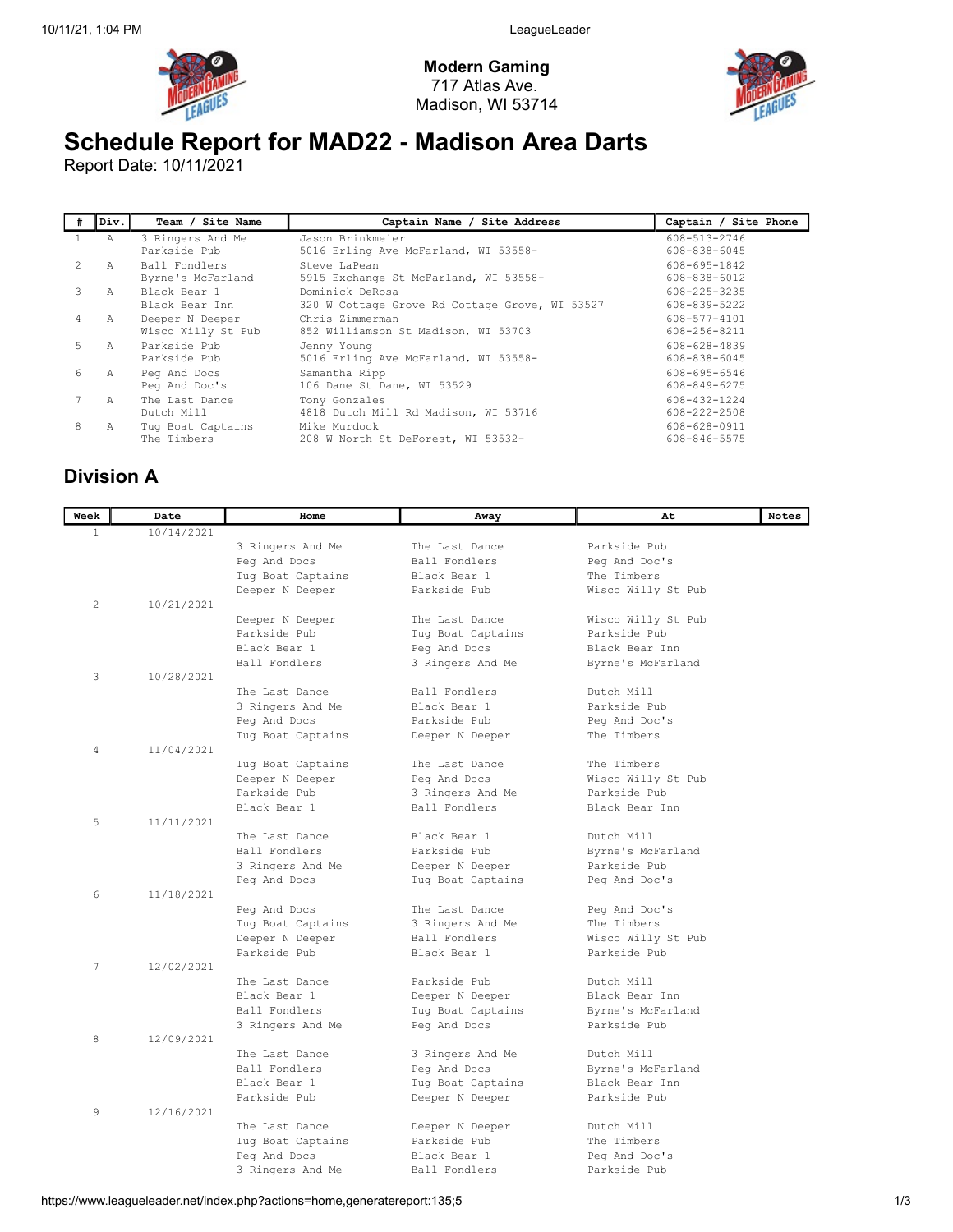

Modern Gaming 717 Atlas Ave. Madison, WI 53714



## Schedule Report for MAD22 - Madison Area Darts

Report Date: 10/11/2021

| #           | Div.           | Team / Site Name                      | Captain Name / Site Address                                       | Captain / Site Phone         |
|-------------|----------------|---------------------------------------|-------------------------------------------------------------------|------------------------------|
|             | A              | 3 Ringers And Me<br>Parkside Pub      | Jason Brinkmeier<br>5016 Erling Ave McFarland, WI 53558-          | 608-513-2746<br>608-838-6045 |
| $2^{\circ}$ | $\overline{A}$ | Ball Fondlers<br>Byrne's McFarland    | Steve LaPean<br>5915 Exchange St McFarland, WI 53558-             | 608-695-1842<br>608-838-6012 |
| 3           | $\overline{A}$ | Black Bear 1<br>Black Bear Inn        | Dominick DeRosa<br>320 W Cottage Grove Rd Cottage Grove, WI 53527 | 608-225-3235<br>608-839-5222 |
| 4           | Α              | Deeper N Deeper<br>Wisco Willy St Pub | Chris Zimmerman<br>852 Williamson St Madison, WI 53703            | 608-577-4101<br>608-256-8211 |
| 5           | Α              | Parkside Pub<br>Parkside Pub          | Jenny Young<br>5016 Erling Ave McFarland, WI 53558-               | 608-628-4839<br>608-838-6045 |
| 6           | Α              | Peg And Docs<br>Peg And Doc's         | Samantha Ripp<br>106 Dane St Dane, WI 53529                       | 608-695-6546<br>608-849-6275 |
|             | $\overline{A}$ | The Last Dance<br>Dutch Mill          | Tony Gonzales<br>4818 Dutch Mill Rd Madison, WI 53716             | 608-432-1224<br>608-222-2508 |
| 8           | Α              | Tug Boat Captains<br>The Timbers      | Mike Murdock<br>208 W North St DeForest, WI 53532-                | 608-628-0911<br>608-846-5575 |

## Division A

| Week         | Date       | Home                            | Away                            | At                            | Notes |
|--------------|------------|---------------------------------|---------------------------------|-------------------------------|-------|
| $\mathbf{1}$ | 10/14/2021 |                                 |                                 |                               |       |
|              |            | 3 Ringers And Me                | The Last Dance                  | Parkside Pub                  |       |
|              |            | Peg And Docs                    | Ball Fondlers                   | Peg And Doc's                 |       |
|              |            | Tug Boat Captains               | Black Bear 1                    | The Timbers                   |       |
|              |            | Deeper N Deeper                 | Parkside Pub                    | Wisco Willy St Pub            |       |
| 2            | 10/21/2021 |                                 |                                 |                               |       |
|              |            | Deeper N Deeper                 | The Last Dance                  | Wisco Willy St Pub            |       |
|              |            | Parkside Pub                    | Tug Boat Captains               | Parkside Pub                  |       |
|              |            | Black Bear 1                    | Peg And Docs                    | Black Bear Inn                |       |
|              |            | Ball Fondlers                   | 3 Ringers And Me                | Byrne's McFarland             |       |
| 3            | 10/28/2021 |                                 |                                 |                               |       |
|              |            | The Last Dance                  | Ball Fondlers                   | Dutch Mill                    |       |
|              |            | 3 Ringers And Me                | Black Bear 1                    | Parkside Pub                  |       |
|              |            | Peg And Docs                    | Parkside Pub                    | Peg And Doc's                 |       |
|              |            | Tug Boat Captains               | Deeper N Deeper                 | The Timbers                   |       |
| 4            | 11/04/2021 |                                 |                                 |                               |       |
|              |            | Tug Boat Captains               | The Last Dance                  | The Timbers                   |       |
|              |            | Deeper N Deeper                 | Peg And Docs                    | Wisco Willy St Pub            |       |
|              |            | Parkside Pub                    | 3 Ringers And Me                | Parkside Pub                  |       |
|              |            | Black Bear 1                    | Ball Fondlers                   | Black Bear Inn                |       |
| 5            | 11/11/2021 |                                 |                                 |                               |       |
|              |            | The Last Dance                  | Black Bear 1                    | Dutch Mill                    |       |
|              |            | Ball Fondlers                   | Parkside Pub                    | Byrne's McFarland             |       |
|              |            | 3 Ringers And Me                | Deeper N Deeper                 | Parkside Pub                  |       |
|              |            | Peg And Docs                    | Tug Boat Captains               | Peg And Doc's                 |       |
| 6            | 11/18/2021 |                                 |                                 |                               |       |
|              |            | Peg And Docs                    | The Last Dance                  | Peg And Doc's                 |       |
|              |            | Tug Boat Captains               | 3 Ringers And Me                | The Timbers                   |       |
|              |            | Deeper N Deeper                 | Ball Fondlers                   | Wisco Willy St Pub            |       |
|              |            | Parkside Pub                    | Black Bear 1                    | Parkside Pub                  |       |
| 7            | 12/02/2021 |                                 |                                 |                               |       |
|              |            | The Last Dance                  | Parkside Pub                    | Dutch Mill                    |       |
|              |            | Black Bear 1                    | Deeper N Deeper                 | Black Bear Inn                |       |
|              |            | Ball Fondlers                   | Tug Boat Captains               | Byrne's McFarland             |       |
|              |            | 3 Ringers And Me                | Peg And Docs                    | Parkside Pub                  |       |
| 8            | 12/09/2021 |                                 |                                 |                               |       |
|              |            | The Last Dance<br>Ball Fondlers | 3 Ringers And Me                | Dutch Mill                    |       |
|              |            |                                 | Peg And Docs                    | Byrne's McFarland             |       |
|              |            | Black Bear 1                    | Tug Boat Captains               | Black Bear Inn                |       |
|              | 12/16/2021 | Parkside Pub                    | Deeper N Deeper                 | Parkside Pub                  |       |
| 9            |            | The Last Dance                  |                                 | Dutch Mill                    |       |
|              |            |                                 | Deeper N Deeper<br>Parkside Pub | The Timbers                   |       |
|              |            | Tug Boat Captains               | Black Bear 1                    |                               |       |
|              |            | Peg And Docs                    |                                 | Peg And Doc's<br>Parkside Pub |       |
|              |            | 3 Ringers And Me                | Ball Fondlers                   |                               |       |

https://www.leagueleader.net/index.php?actions=home,generatereport:135;5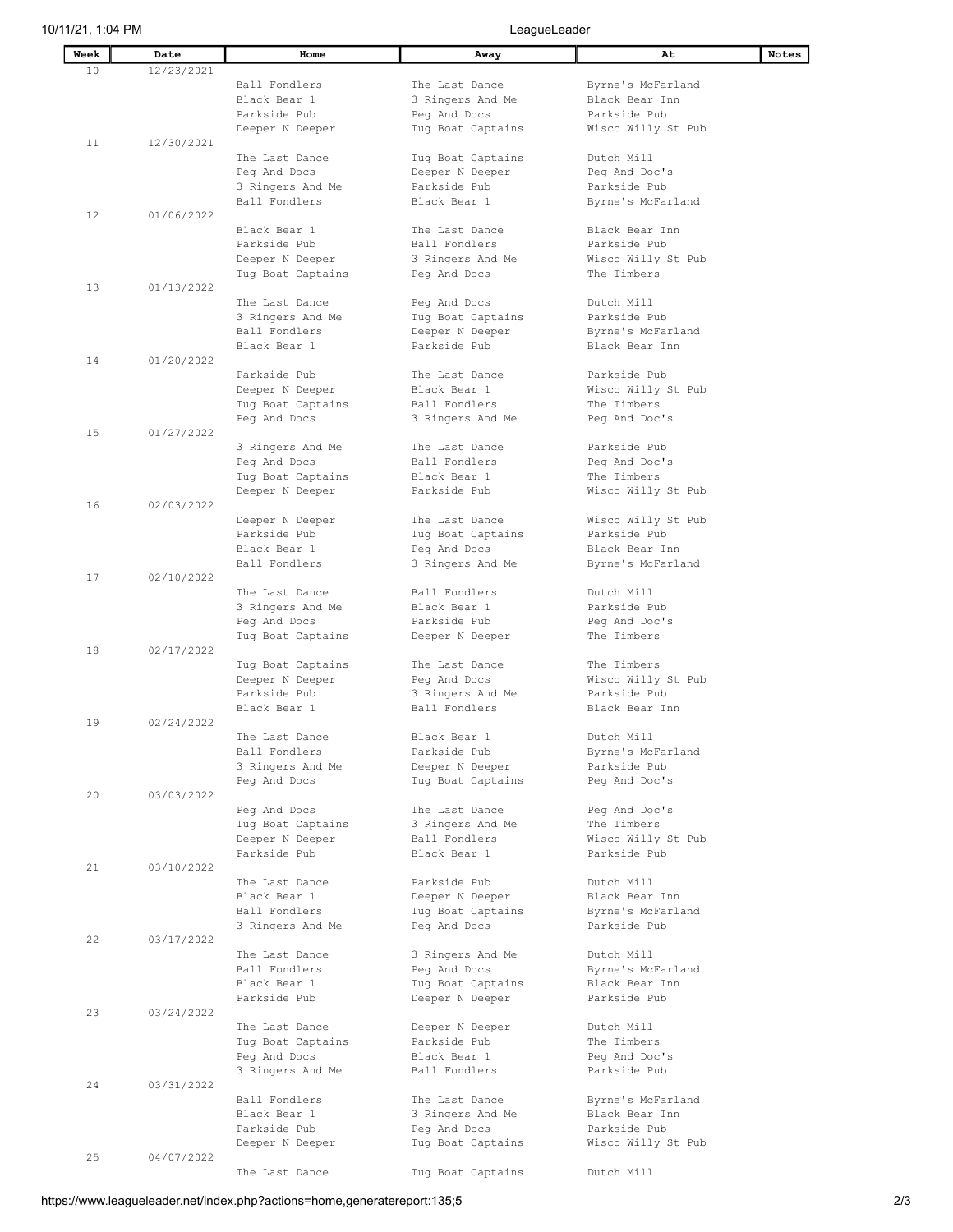| Week | Date       | Home              | Away              | At                 | Notes |
|------|------------|-------------------|-------------------|--------------------|-------|
| 10   | 12/23/2021 |                   |                   |                    |       |
|      |            | Ball Fondlers     | The Last Dance    | Byrne's McFarland  |       |
|      |            | Black Bear 1      | 3 Ringers And Me  | Black Bear Inn     |       |
|      |            | Parkside Pub      | Peg And Docs      | Parkside Pub       |       |
|      |            |                   |                   |                    |       |
|      |            | Deeper N Deeper   | Tug Boat Captains | Wisco Willy St Pub |       |
| 11   | 12/30/2021 |                   |                   |                    |       |
|      |            | The Last Dance    | Tug Boat Captains | Dutch Mill         |       |
|      |            | Peg And Docs      | Deeper N Deeper   | Peg And Doc's      |       |
|      |            | 3 Ringers And Me  | Parkside Pub      | Parkside Pub       |       |
|      |            | Ball Fondlers     | Black Bear 1      | Byrne's McFarland  |       |
| 12   | 01/06/2022 |                   |                   |                    |       |
|      |            | Black Bear 1      | The Last Dance    | Black Bear Inn     |       |
|      |            | Parkside Pub      | Ball Fondlers     | Parkside Pub       |       |
|      |            | Deeper N Deeper   | 3 Ringers And Me  | Wisco Willy St Pub |       |
|      |            | Tug Boat Captains | Peg And Docs      | The Timbers        |       |
| 13   | 01/13/2022 |                   |                   |                    |       |
|      |            |                   |                   |                    |       |
|      |            | The Last Dance    | Peg And Docs      | Dutch Mill         |       |
|      |            | 3 Ringers And Me  | Tug Boat Captains | Parkside Pub       |       |
|      |            | Ball Fondlers     | Deeper N Deeper   | Byrne's McFarland  |       |
|      |            | Black Bear 1      | Parkside Pub      | Black Bear Inn     |       |
| 14   | 01/20/2022 |                   |                   |                    |       |
|      |            | Parkside Pub      | The Last Dance    | Parkside Pub       |       |
|      |            | Deeper N Deeper   | Black Bear 1      | Wisco Willy St Pub |       |
|      |            | Tug Boat Captains | Ball Fondlers     | The Timbers        |       |
|      |            | Peg And Docs      | 3 Ringers And Me  | Peg And Doc's      |       |
| 15   | 01/27/2022 |                   |                   |                    |       |
|      |            | 3 Ringers And Me  | The Last Dance    | Parkside Pub       |       |
|      |            |                   |                   |                    |       |
|      |            | Peg And Docs      | Ball Fondlers     | Peg And Doc's      |       |
|      |            | Tug Boat Captains | Black Bear 1      | The Timbers        |       |
|      |            | Deeper N Deeper   | Parkside Pub      | Wisco Willy St Pub |       |
| 16   | 02/03/2022 |                   |                   |                    |       |
|      |            | Deeper N Deeper   | The Last Dance    | Wisco Willy St Pub |       |
|      |            | Parkside Pub      | Tug Boat Captains | Parkside Pub       |       |
|      |            | Black Bear 1      | Peg And Docs      | Black Bear Inn     |       |
|      |            | Ball Fondlers     | 3 Ringers And Me  | Byrne's McFarland  |       |
| 17   | 02/10/2022 |                   |                   |                    |       |
|      |            | The Last Dance    | Ball Fondlers     | Dutch Mill         |       |
|      |            | 3 Ringers And Me  | Black Bear 1      | Parkside Pub       |       |
|      |            |                   |                   |                    |       |
|      |            | Peg And Docs      | Parkside Pub      | Peq And Doc's      |       |
|      |            | Tug Boat Captains | Deeper N Deeper   | The Timbers        |       |
| 18   | 02/17/2022 |                   |                   |                    |       |
|      |            | Tug Boat Captains | The Last Dance    | The Timbers        |       |
|      |            | Deeper N Deeper   | Peg And Docs      | Wisco Willy St Pub |       |
|      |            | Parkside Pub      | 3 Ringers And Me  | Parkside Pub       |       |
|      |            | Black Bear 1      | Ball Fondlers     | Black Bear Inn     |       |
| 19   | 02/24/2022 |                   |                   |                    |       |
|      |            | The Last Dance    | Black Bear 1      | Dutch Mill         |       |
|      |            | Ball Fondlers     | Parkside Pub      | Byrne's McFarland  |       |
|      |            | 3 Ringers And Me  | Deeper N Deeper   | Parkside Pub       |       |
|      |            | Peg And Docs      | Tug Boat Captains | Peg And Doc's      |       |
| 20   | 03/03/2022 |                   |                   |                    |       |
|      |            |                   |                   |                    |       |
|      |            | Peg And Docs      | The Last Dance    | Peg And Doc's      |       |
|      |            | Tug Boat Captains | 3 Ringers And Me  | The Timbers        |       |
|      |            | Deeper N Deeper   | Ball Fondlers     | Wisco Willy St Pub |       |
|      |            | Parkside Pub      | Black Bear 1      | Parkside Pub       |       |
| 21   | 03/10/2022 |                   |                   |                    |       |
|      |            | The Last Dance    | Parkside Pub      | Dutch Mill         |       |
|      |            | Black Bear 1      | Deeper N Deeper   | Black Bear Inn     |       |
|      |            | Ball Fondlers     | Tug Boat Captains | Byrne's McFarland  |       |
|      |            | 3 Ringers And Me  | Peg And Docs      | Parkside Pub       |       |
| 22   | 03/17/2022 |                   |                   |                    |       |
|      |            | The Last Dance    | 3 Ringers And Me  | Dutch Mill         |       |
|      |            | Ball Fondlers     | Peg And Docs      | Byrne's McFarland  |       |
|      |            | Black Bear 1      |                   |                    |       |
|      |            |                   | Tug Boat Captains | Black Bear Inn     |       |
|      |            | Parkside Pub      | Deeper N Deeper   | Parkside Pub       |       |
| 23   | 03/24/2022 |                   |                   |                    |       |
|      |            | The Last Dance    | Deeper N Deeper   | Dutch Mill         |       |
|      |            | Tug Boat Captains | Parkside Pub      | The Timbers        |       |
|      |            | Peg And Docs      | Black Bear 1      | Peg And Doc's      |       |
|      |            | 3 Ringers And Me  | Ball Fondlers     | Parkside Pub       |       |
| 24   | 03/31/2022 |                   |                   |                    |       |
|      |            | Ball Fondlers     | The Last Dance    | Byrne's McFarland  |       |
|      |            | Black Bear 1      | 3 Ringers And Me  | Black Bear Inn     |       |
|      |            | Parkside Pub      | Peg And Docs      | Parkside Pub       |       |
|      |            | Deeper N Deeper   | Tug Boat Captains | Wisco Willy St Pub |       |
| 25   | 04/07/2022 |                   |                   |                    |       |
|      |            |                   |                   |                    |       |
|      |            | The Last Dance    | Tug Boat Captains | Dutch Mill         |       |